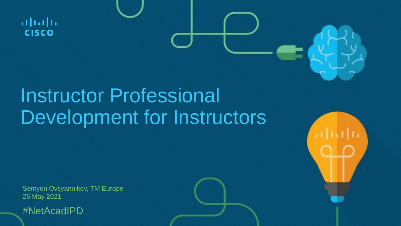$\mathbf{d}$  and  $\mathbf{d}$ **CISCO** 

## Instructor Professional Development for Instructors

Semyon Ovsyannikov, TM Europe 26 May 2021

#NetAcadIPD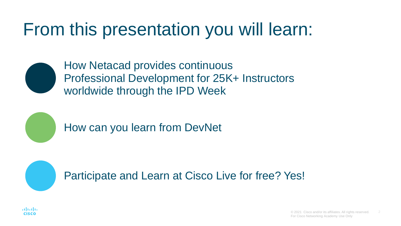## From this presentation you will learn:



How Netacad provides continuous Professional Development for 25K+ Instructors worldwide through the IPD Week

How can you learn from DevNet

Participate and Learn at Cisco Live for free? Yes!

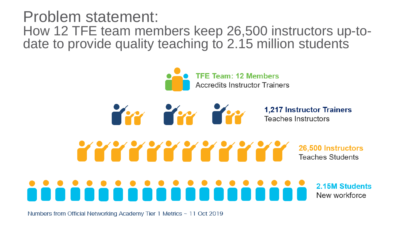Problem statement: How 12 TFE team members keep 26,500 instructors up-todate to provide quality teaching to 2.15 million students

> **TFE Team: 12 Members Accredits Instructor Trainers**

> > **1,217 Instructor Trainers**<br>Teaches Instructors

Yyyyyyyyyyyy 26,500 Instructors **Teaches Students** 

in in in

2.15M Students New workforce

Numbers from Official Networking Academy Tier 1 Metrics ~ 11 Oct 2019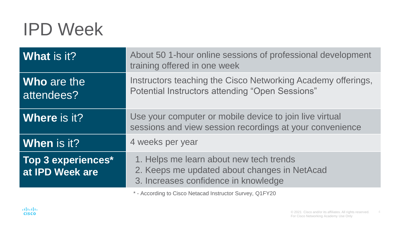## IPD Week

| <b>What is it?</b>                    | About 50 1-hour online sessions of professional development<br>training offered in one week                                     |
|---------------------------------------|---------------------------------------------------------------------------------------------------------------------------------|
| Who are the<br>attendees?             | Instructors teaching the Cisco Networking Academy offerings,<br><b>Potential Instructors attending "Open Sessions"</b>          |
| Where is it?                          | Use your computer or mobile device to join live virtual<br>sessions and view session recordings at your convenience             |
| When is it?                           | 4 weeks per year                                                                                                                |
| Top 3 experiences*<br>at IPD Week are | 1. Helps me learn about new tech trends<br>2. Keeps me updated about changes in NetAcad<br>3. Increases confidence in knowledge |

\* - According to Cisco Netacad Instructor Survey, Q1FY20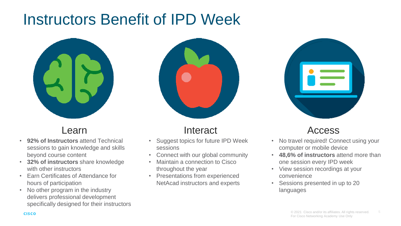## Instructors Benefit of IPD Week



- **92% of Instructors** attend Technical sessions to gain knowledge and skills beyond course content
- **32% of instructors** share knowledge with other instructors
- Earn Certificates of Attendance for hours of participation
- No other program in the industry delivers professional development specifically designed for their instructors



#### Learn Interact

- Suggest topics for future IPD Week sessions
- Connect with our global community
- Maintain a connection to Cisco throughout the year
- Presentations from experienced NetAcad instructors and experts

#### Access

- No travel required! Connect using your computer or mobile device
- **48,6% of instructors** attend more than one session every IPD week
- View session recordings at your convenience
- Sessions presented in up to 20 languages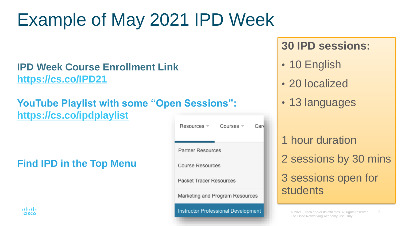## Example of May 2021 IPD Week

#### **IPD Week Course Enrollment Link <https://cs.co/IPD21>**

#### **YouTube Playlist with some "Ope <https://cs.co/ipdplaylist>**

#### **Find IPD in the Top Menu**

aludu. **CISCO** 

| n Sessions":                        |                |     |  |  |
|-------------------------------------|----------------|-----|--|--|
| Resources =                         | Courses $\sim$ | Car |  |  |
| <b>Partner Resources</b>            |                |     |  |  |
| <b>Course Resources</b>             |                |     |  |  |
| Packet Tracer Resources             |                |     |  |  |
| Marketing and Program Resources     |                |     |  |  |
| Instructor Professional Development |                |     |  |  |

### **30 IPD sessions:**

- 10 English
- 20 localized
- 13 languages

1 hour duration 2 sessions by 30 mins 3 sessions open for students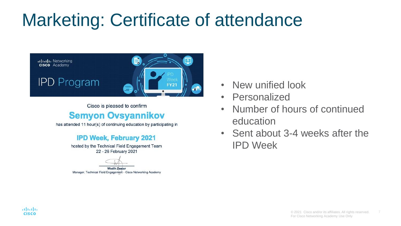## Marketing: Certificate of attendance



Cisco is pleased to confirm

#### **Semyon Ovsyannikov**

has attended 11 hour(s) of continuing education by participating in

#### **IPD Week, February 2021**

hosted by the Technical Field Engagement Team 22 - 26 February 2021



**Wadih Zaatar** Manager, Technical Field Engagement - Cisco Networking Academy

- New unified look
- Personalized
- Number of hours of continued education
- Sent about 3-4 weeks after the IPD Week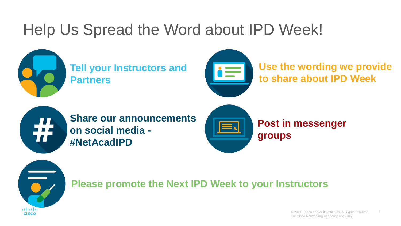## Help Us Spread the Word about IPD Week!



**Tell your Instructors and Partners**



**Use the wording we provide to share about IPD Week**



**Share our announcements on social media - #NetAcadIPD**



**Post in messenger groups**



**Please promote the Next IPD Week to your Instructors**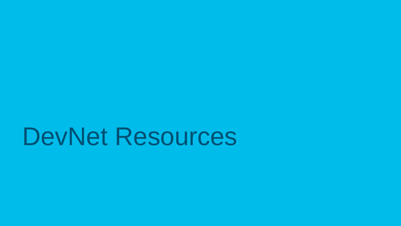## DevNet Resources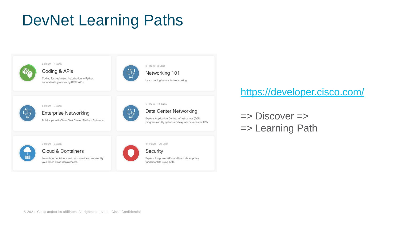## DevNet Learning Paths



#### <https://developer.cisco.com/>

 $\Rightarrow$  Discover  $\Rightarrow$ => Learning Path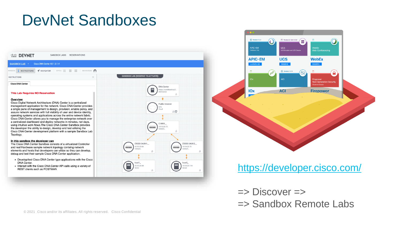## DevNet Sandboxes





#### <https://developer.cisco.com/>

 $\Rightarrow$  Discover  $\Rightarrow$ => Sandbox Remote Labs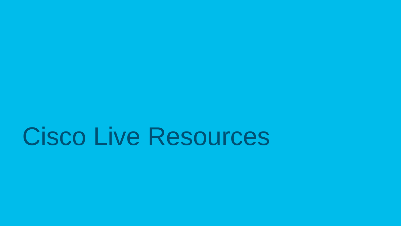## Cisco Live Resources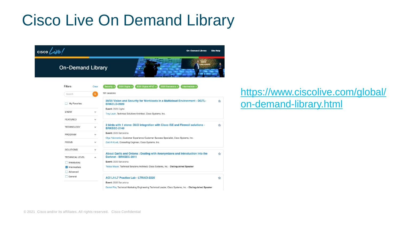## Cisco Live On Demand Library





#### [https://www.ciscolive.com/global/](https://www.ciscolive.com/global/on-demand-library.html) on-demand-library.html